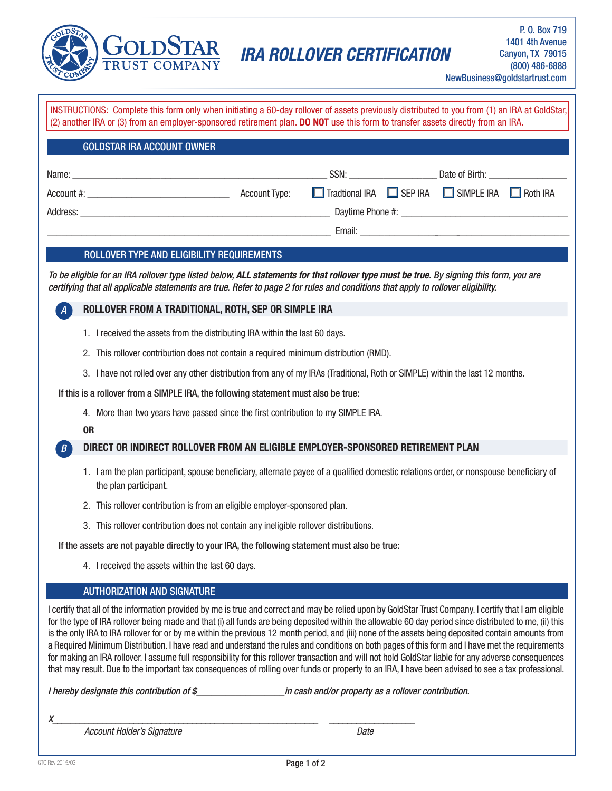

## **IRA ROLLOVER CERTIFICATION**

NewBusiness@goldstartrust.com

| INSTRUCTIONS: Complete this form only when initiating a 60-day rollover of assets previously distributed to you from (1) an IRA at GoldStar,<br>(2) another IRA or (3) from an employer-sponsored retirement plan. DO NOT use this form to transfer assets directly from an IRA.                                                                                                                                                                                                                                                                                                                                                                                                                                                                                                                                                                                                                                                             |                                                                                                                                        |                                                                                                                                                                                                                                      |  |  |  |  |
|----------------------------------------------------------------------------------------------------------------------------------------------------------------------------------------------------------------------------------------------------------------------------------------------------------------------------------------------------------------------------------------------------------------------------------------------------------------------------------------------------------------------------------------------------------------------------------------------------------------------------------------------------------------------------------------------------------------------------------------------------------------------------------------------------------------------------------------------------------------------------------------------------------------------------------------------|----------------------------------------------------------------------------------------------------------------------------------------|--------------------------------------------------------------------------------------------------------------------------------------------------------------------------------------------------------------------------------------|--|--|--|--|
| <b>GOLDSTAR IRA ACCOUNT OWNER</b>                                                                                                                                                                                                                                                                                                                                                                                                                                                                                                                                                                                                                                                                                                                                                                                                                                                                                                            |                                                                                                                                        |                                                                                                                                                                                                                                      |  |  |  |  |
|                                                                                                                                                                                                                                                                                                                                                                                                                                                                                                                                                                                                                                                                                                                                                                                                                                                                                                                                              |                                                                                                                                        |                                                                                                                                                                                                                                      |  |  |  |  |
|                                                                                                                                                                                                                                                                                                                                                                                                                                                                                                                                                                                                                                                                                                                                                                                                                                                                                                                                              |                                                                                                                                        | Tradtional IRA SEP IRA SIMPLE IRA Roth IRA                                                                                                                                                                                           |  |  |  |  |
|                                                                                                                                                                                                                                                                                                                                                                                                                                                                                                                                                                                                                                                                                                                                                                                                                                                                                                                                              |                                                                                                                                        | <u>in the contract of the contract of the contract of the contract of the contract of the contract of the contract of the contract of the contract of the contract of the contract of the contract of the contract of the contra</u> |  |  |  |  |
|                                                                                                                                                                                                                                                                                                                                                                                                                                                                                                                                                                                                                                                                                                                                                                                                                                                                                                                                              |                                                                                                                                        |                                                                                                                                                                                                                                      |  |  |  |  |
| ROLLOVER TYPE AND ELIGIBILITY REQUIREMENTS                                                                                                                                                                                                                                                                                                                                                                                                                                                                                                                                                                                                                                                                                                                                                                                                                                                                                                   |                                                                                                                                        |                                                                                                                                                                                                                                      |  |  |  |  |
| To be eligible for an IRA rollover type listed below, ALL statements for that rollover type must be true. By signing this form, you are<br>certifying that all applicable statements are true. Refer to page 2 for rules and conditions that apply to rollover eligibility.                                                                                                                                                                                                                                                                                                                                                                                                                                                                                                                                                                                                                                                                  |                                                                                                                                        |                                                                                                                                                                                                                                      |  |  |  |  |
|                                                                                                                                                                                                                                                                                                                                                                                                                                                                                                                                                                                                                                                                                                                                                                                                                                                                                                                                              | ROLLOVER FROM A TRADITIONAL, ROTH, SEP OR SIMPLE IRA                                                                                   |                                                                                                                                                                                                                                      |  |  |  |  |
|                                                                                                                                                                                                                                                                                                                                                                                                                                                                                                                                                                                                                                                                                                                                                                                                                                                                                                                                              | 1. I received the assets from the distributing IRA within the last 60 days.                                                            |                                                                                                                                                                                                                                      |  |  |  |  |
| This rollover contribution does not contain a required minimum distribution (RMD).<br>2.                                                                                                                                                                                                                                                                                                                                                                                                                                                                                                                                                                                                                                                                                                                                                                                                                                                     |                                                                                                                                        |                                                                                                                                                                                                                                      |  |  |  |  |
| I have not rolled over any other distribution from any of my IRAs (Traditional, Roth or SIMPLE) within the last 12 months.<br>3.                                                                                                                                                                                                                                                                                                                                                                                                                                                                                                                                                                                                                                                                                                                                                                                                             |                                                                                                                                        |                                                                                                                                                                                                                                      |  |  |  |  |
| If this is a rollover from a SIMPLE IRA, the following statement must also be true:                                                                                                                                                                                                                                                                                                                                                                                                                                                                                                                                                                                                                                                                                                                                                                                                                                                          |                                                                                                                                        |                                                                                                                                                                                                                                      |  |  |  |  |
|                                                                                                                                                                                                                                                                                                                                                                                                                                                                                                                                                                                                                                                                                                                                                                                                                                                                                                                                              | 4. More than two years have passed since the first contribution to my SIMPLE IRA.                                                      |                                                                                                                                                                                                                                      |  |  |  |  |
| <b>OR</b>                                                                                                                                                                                                                                                                                                                                                                                                                                                                                                                                                                                                                                                                                                                                                                                                                                                                                                                                    |                                                                                                                                        |                                                                                                                                                                                                                                      |  |  |  |  |
| B                                                                                                                                                                                                                                                                                                                                                                                                                                                                                                                                                                                                                                                                                                                                                                                                                                                                                                                                            | DIRECT OR INDIRECT ROLLOVER FROM AN ELIGIBLE EMPLOYER-SPONSORED RETIREMENT PLAN                                                        |                                                                                                                                                                                                                                      |  |  |  |  |
| the plan participant.                                                                                                                                                                                                                                                                                                                                                                                                                                                                                                                                                                                                                                                                                                                                                                                                                                                                                                                        | 1. I am the plan participant, spouse beneficiary, alternate payee of a qualified domestic relations order, or nonspouse beneficiary of |                                                                                                                                                                                                                                      |  |  |  |  |
|                                                                                                                                                                                                                                                                                                                                                                                                                                                                                                                                                                                                                                                                                                                                                                                                                                                                                                                                              | 2. This rollover contribution is from an eligible employer-sponsored plan.                                                             |                                                                                                                                                                                                                                      |  |  |  |  |
| This rollover contribution does not contain any ineligible rollover distributions.<br>3.                                                                                                                                                                                                                                                                                                                                                                                                                                                                                                                                                                                                                                                                                                                                                                                                                                                     |                                                                                                                                        |                                                                                                                                                                                                                                      |  |  |  |  |
| If the assets are not payable directly to your IRA, the following statement must also be true:                                                                                                                                                                                                                                                                                                                                                                                                                                                                                                                                                                                                                                                                                                                                                                                                                                               |                                                                                                                                        |                                                                                                                                                                                                                                      |  |  |  |  |
| 4. I received the assets within the last 60 days.                                                                                                                                                                                                                                                                                                                                                                                                                                                                                                                                                                                                                                                                                                                                                                                                                                                                                            |                                                                                                                                        |                                                                                                                                                                                                                                      |  |  |  |  |
| <b>AUTHORIZATION AND SIGNATURE</b>                                                                                                                                                                                                                                                                                                                                                                                                                                                                                                                                                                                                                                                                                                                                                                                                                                                                                                           |                                                                                                                                        |                                                                                                                                                                                                                                      |  |  |  |  |
| I certify that all of the information provided by me is true and correct and may be relied upon by GoldStar Trust Company. I certify that I am eligible<br>for the type of IRA rollover being made and that (i) all funds are being deposited within the allowable 60 day period since distributed to me, (ii) this<br>is the only IRA to IRA rollover for or by me within the previous 12 month period, and (iii) none of the assets being deposited contain amounts from<br>a Required Minimum Distribution. I have read and understand the rules and conditions on both pages of this form and I have met the requirements<br>for making an IRA rollover. I assume full responsibility for this rollover transaction and will not hold GoldStar liable for any adverse consequences<br>that may result. Due to the important tax consequences of rolling over funds or property to an IRA, I have been advised to see a tax professional. |                                                                                                                                        |                                                                                                                                                                                                                                      |  |  |  |  |
| I hereby designate this contribution of \$                                                                                                                                                                                                                                                                                                                                                                                                                                                                                                                                                                                                                                                                                                                                                                                                                                                                                                   | in cash and/or property as a rollover contribution.                                                                                    |                                                                                                                                                                                                                                      |  |  |  |  |
| Account Holder's Signature                                                                                                                                                                                                                                                                                                                                                                                                                                                                                                                                                                                                                                                                                                                                                                                                                                                                                                                   |                                                                                                                                        | Date                                                                                                                                                                                                                                 |  |  |  |  |